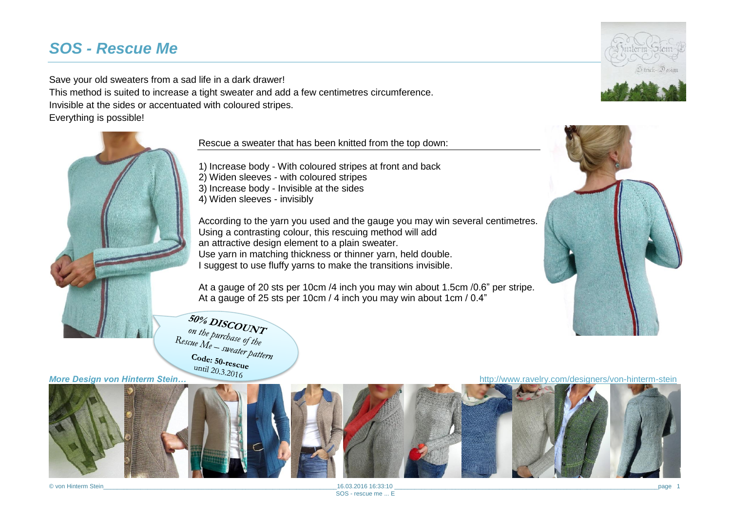# *SOS - Rescue Me*

Save your old sweaters from a sad life in a dark drawer!

This method is suited to increase a tight sweater and add a few centimetres circumference.

Invisible at the sides or accentuated with coloured stripes.

Everything is possible!



Rescue a sweater that has been knitted from the top down:

1) Increase body - With coloured stripes at front and back 2) Widen sleeves - with coloured stripes 3) Increase body - Invisible at the sides 4) Widen sleeves - invisibly

According to the yarn you used and the gauge you may win several centimetres. Using a contrasting colour, this rescuing method will add an attractive design element to a plain sweater. Use yarn in matching thickness or thinner yarn, held double. I suggest to use fluffy yarns to make the transitions invisible.

At a gauge of 20 sts per 10cm /4 inch you may win about 1.5cm /0.6" per stripe. At a gauge of 25 sts per 10cm / 4 inch you may win about 1cm / 0.4"

 $\frac{50\%}{\text{DISCOL}NT}$ on the purchase of the Parchase of the<br>Rescue  $M_e$  - sweater pattern<br>Code: 50. Code:  $50$ -rescue



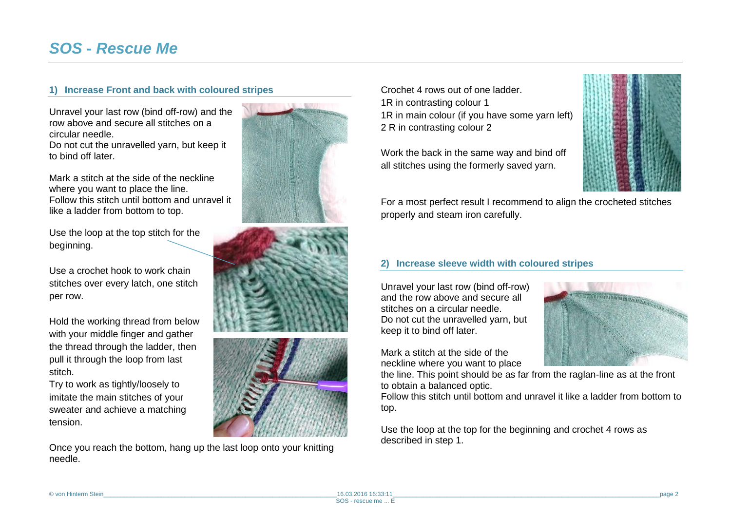## **1) Increase Front and back with coloured stripes**

Unravel your last row (bind off-row) and the row above and secure all stitches on a circular needle.

Do not cut the unravelled yarn, but keep it to bind off later.

Mark a stitch at the side of the neckline where you want to place the line. Follow this stitch until bottom and unravel it like a ladder from bottom to top.

Use the loop at the top stitch for the beginning.

Use a crochet hook to work chain stitches over every latch, one stitch per row.

Hold the working thread from below with your middle finger and gather the thread through the ladder, then pull it through the loop from last stitch.

Try to work as tightly/loosely to imitate the main stitches of your sweater and achieve a matching tension.

Once you reach the bottom, hang up the last loop onto your knitting needle.







Crochet 4 rows out of one ladder. 1R in contrasting colour 1 1R in main colour (if you have some yarn left) 2 R in contrasting colour 2

Work the back in the same way and bind off all stitches using the formerly saved yarn.



For a most perfect result I recommend to align the crocheted stitches properly and steam iron carefully.

### **2) Increase sleeve width with coloured stripes**

Unravel your last row (bind off-row) and the row above and secure all stitches on a circular needle. Do not cut the unravelled yarn, but keep it to bind off later.

Mark a stitch at the side of the neckline where you want to place



the line. This point should be as far from the raglan-line as at the front to obtain a balanced optic.

Follow this stitch until bottom and unravel it like a ladder from bottom to top.

Use the loop at the top for the beginning and crochet 4 rows as described in step 1.